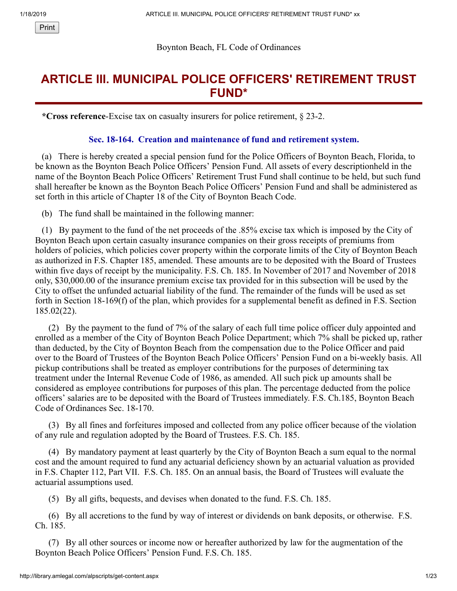#### Boynton Beach, FL Code of Ordinances

# **ARTICLE III. MUNICIPAL POLICE OFFICERS' RETIREMENT TRUST FUND\***

 **\*Cross reference**-Excise tax on casualty insurers for police retirement, § 23-2.

#### **Sec. 18-164. Creation and maintenance of fund and retirement system.**

 (a) There is hereby created a special pension fund for the Police Officers of Boynton Beach, Florida, to be known as the Boynton Beach Police Officers' Pension Fund. All assets of every descriptionheld in the name of the Boynton Beach Police Officers' Retirement Trust Fund shall continue to be held, but such fund shall hereafter be known as the Boynton Beach Police Officers' Pension Fund and shall be administered as set forth in this article of Chapter 18 of the City of Boynton Beach Code.

(b) The fund shall be maintained in the following manner:

 (1) By payment to the fund of the net proceeds of the .85% excise tax which is imposed by the City of Boynton Beach upon certain casualty insurance companies on their gross receipts of premiums from holders of policies, which policies cover property within the corporate limits of the City of Boynton Beach as authorized in F.S. Chapter 185, amended. These amounts are to be deposited with the Board of Trustees within five days of receipt by the municipality. F.S. Ch. 185. In November of 2017 and November of 2018 only, \$30,000.00 of the insurance premium excise tax provided for in this subsection will be used by the City to offset the unfunded actuarial liability of the fund. The remainder of the funds will be used as set forth in Section 18-169(f) of the plan, which provides for a supplemental benefit as defined in F.S. Section 185.02(22).

 (2) By the payment to the fund of 7% of the salary of each full time police officer duly appointed and enrolled as a member of the City of Boynton Beach Police Department; which 7% shall be picked up, rather than deducted, by the City of Boynton Beach from the compensation due to the Police Officer and paid over to the Board of Trustees of the Boynton Beach Police Officers' Pension Fund on a bi-weekly basis. All pickup contributions shall be treated as employer contributions for the purposes of determining tax treatment under the Internal Revenue Code of 1986, as amended. All such pick up amounts shall be considered as employee contributions for purposes of this plan. The percentage deducted from the police officers' salaries are to be deposited with the Board of Trustees immediately. F.S. Ch.185, Boynton Beach Code of Ordinances Sec. 18-170.

 (3) By all fines and forfeitures imposed and collected from any police officer because of the violation of any rule and regulation adopted by the Board of Trustees. F.S. Ch. 185.

 (4) By mandatory payment at least quarterly by the City of Boynton Beach a sum equal to the normal cost and the amount required to fund any actuarial deficiency shown by an actuarial valuation as provided in F.S. Chapter 112, Part VII. F.S. Ch. 185. On an annual basis, the Board of Trustees will evaluate the actuarial assumptions used.

(5) By all gifts, bequests, and devises when donated to the fund. F.S. Ch. 185.

 (6) By all accretions to the fund by way of interest or dividends on bank deposits, or otherwise. F.S. Ch. 185.

 (7) By all other sources or income now or hereafter authorized by law for the augmentation of the Boynton Beach Police Officers' Pension Fund. F.S. Ch. 185.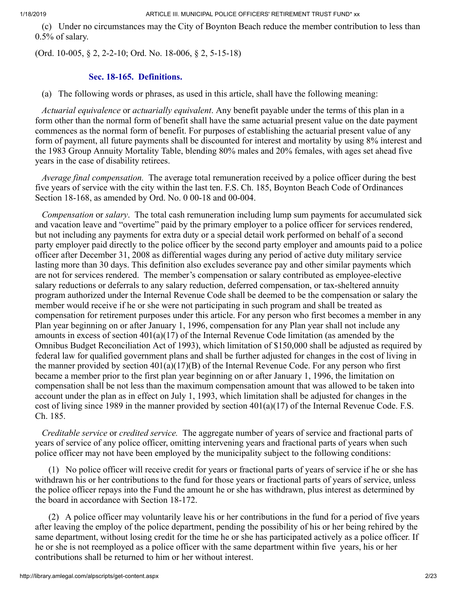(c) Under no circumstances may the City of Boynton Beach reduce the member contribution to less than 0.5% of salary.

(Ord. 10-005, § 2, 2-2-10; Ord. No. 18-006, § 2, 5-15-18)

#### **Sec. 18-165. Definitions.**

(a) The following words or phrases, as used in this article, shall have the following meaning:

 *Actuarial equivalence* or *actuarially equivalent*. Any benefit payable under the terms of this plan in a form other than the normal form of benefit shall have the same actuarial present value on the date payment commences as the normal form of benefit. For purposes of establishing the actuarial present value of any form of payment, all future payments shall be discounted for interest and mortality by using 8% interest and the 1983 Group Annuity Mortality Table, blending 80% males and 20% females, with ages set ahead five years in the case of disability retirees.

 *Average final compensation.* The average total remuneration received by a police officer during the best five years of service with the city within the last ten. F.S. Ch. 185, Boynton Beach Code of Ordinances Section 18-168, as amended by Ord. No. 0 00-18 and 00-004.

 *Compensation* or *salary*. The total cash remuneration including lump sum payments for accumulated sick and vacation leave and "overtime" paid by the primary employer to a police officer for services rendered, but not including any payments for extra duty or a special detail work performed on behalf of a second party employer paid directly to the police officer by the second party employer and amounts paid to a police officer after December 31, 2008 as differential wages during any period of active duty military service lasting more than 30 days. This definition also excludes severance pay and other similar payments which are not for services rendered. The member's compensation or salary contributed as employee-elective salary reductions or deferrals to any salary reduction, deferred compensation, or tax-sheltered annuity program authorized under the Internal Revenue Code shall be deemed to be the compensation or salary the member would receive if he or she were not participating in such program and shall be treated as compensation for retirement purposes under this article. For any person who first becomes a member in any Plan year beginning on or after January 1, 1996, compensation for any Plan year shall not include any amounts in excess of section  $401(a)(17)$  of the Internal Revenue Code limitation (as amended by the Omnibus Budget Reconciliation Act of 1993), which limitation of \$150,000 shall be adjusted as required by federal law for qualified government plans and shall be further adjusted for changes in the cost of living in the manner provided by section  $401(a)(17)(B)$  of the Internal Revenue Code. For any person who first became a member prior to the first plan year beginning on or after January 1, 1996, the limitation on compensation shall be not less than the maximum compensation amount that was allowed to be taken into account under the plan as in effect on July 1, 1993, which limitation shall be adjusted for changes in the cost of living since 1989 in the manner provided by section 401(a)(17) of the Internal Revenue Code. F.S. Ch. 185.

 *Creditable service* or *credited service.* The aggregate number of years of service and fractional parts of years of service of any police officer, omitting intervening years and fractional parts of years when such police officer may not have been employed by the municipality subject to the following conditions:

 (1) No police officer will receive credit for years or fractional parts of years of service if he or she has withdrawn his or her contributions to the fund for those years or fractional parts of years of service, unless the police officer repays into the Fund the amount he or she has withdrawn, plus interest as determined by the board in accordance with Section 18-172.

 (2) A police officer may voluntarily leave his or her contributions in the fund for a period of five years after leaving the employ of the police department, pending the possibility of his or her being rehired by the same department, without losing credit for the time he or she has participated actively as a police officer. If he or she is not reemployed as a police officer with the same department within five years, his or her contributions shall be returned to him or her without interest.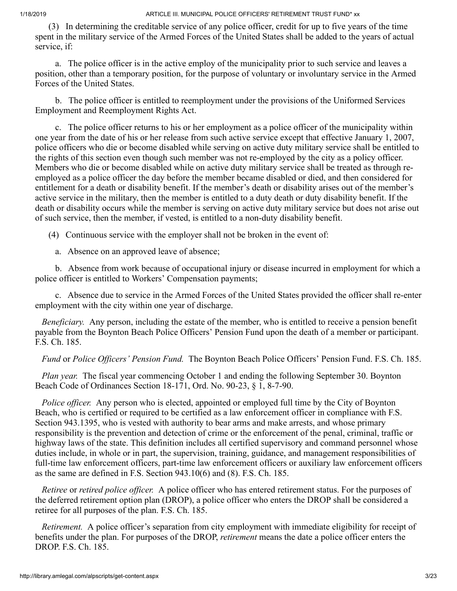(3) In determining the creditable service of any police officer, credit for up to five years of the time spent in the military service of the Armed Forces of the United States shall be added to the years of actual service, if:

 a. The police officer is in the active employ of the municipality prior to such service and leaves a position, other than a temporary position, for the purpose of voluntary or involuntary service in the Armed Forces of the United States.

 b. The police officer is entitled to reemployment under the provisions of the Uniformed Services Employment and Reemployment Rights Act.

 c. The police officer returns to his or her employment as a police officer of the municipality within one year from the date of his or her release from such active service except that effective January 1, 2007, police officers who die or become disabled while serving on active duty military service shall be entitled to the rights of this section even though such member was not re-employed by the city as a policy officer. Members who die or become disabled while on active duty military service shall be treated as through reemployed as a police officer the day before the member became disabled or died, and then considered for entitlement for a death or disability benefit. If the member's death or disability arises out of the member's active service in the military, then the member is entitled to a duty death or duty disability benefit. If the death or disability occurs while the member is serving on active duty military service but does not arise out of such service, then the member, if vested, is entitled to a non-duty disability benefit.

(4) Continuous service with the employer shall not be broken in the event of:

a. Absence on an approved leave of absence;

 b. Absence from work because of occupational injury or disease incurred in employment for which a police officer is entitled to Workers' Compensation payments;

 c. Absence due to service in the Armed Forces of the United States provided the officer shall re-enter employment with the city within one year of discharge.

*Beneficiary.* Any person, including the estate of the member, who is entitled to receive a pension benefit payable from the Boynton Beach Police Officers' Pension Fund upon the death of a member or participant. F.S. Ch. 185.

*Fund* or *Police Officers' Pension Fund.* The Boynton Beach Police Officers' Pension Fund. F.S. Ch. 185.

 *Plan year.* The fiscal year commencing October 1 and ending the following September 30. Boynton Beach Code of Ordinances Section 18-171, Ord. No. 90-23, § 1, 8-7-90.

 *Police officer.* Any person who is elected, appointed or employed full time by the City of Boynton Beach, who is certified or required to be certified as a law enforcement officer in compliance with F.S. Section 943.1395, who is vested with authority to bear arms and make arrests, and whose primary responsibility is the prevention and detection of crime or the enforcement of the penal, criminal, traffic or highway laws of the state. This definition includes all certified supervisory and command personnel whose duties include, in whole or in part, the supervision, training, guidance, and management responsibilities of full-time law enforcement officers, part-time law enforcement officers or auxiliary law enforcement officers as the same are defined in F.S. Section 943.10(6) and (8). F.S. Ch. 185.

 *Retiree* or *retired police officer.* A police officer who has entered retirement status. For the purposes of the deferred retirement option plan (DROP), a police officer who enters the DROP shall be considered a retiree for all purposes of the plan. F.S. Ch. 185.

 *Retirement.* A police officer's separation from city employment with immediate eligibility for receipt of benefits under the plan. For purposes of the DROP, *retirement* means the date a police officer enters the DROP. F.S. Ch. 185.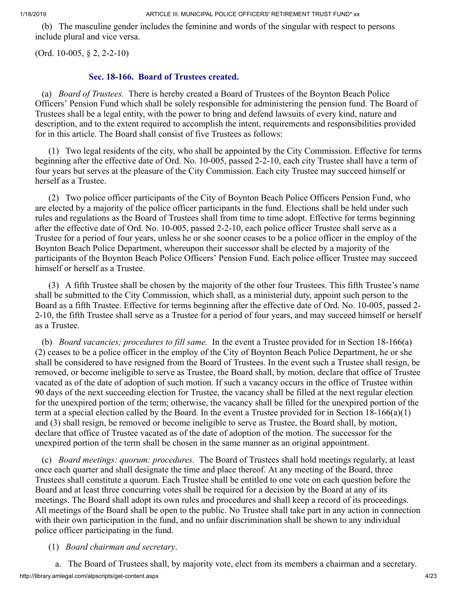(b) The masculine gender includes the feminine and words of the singular with respect to persons include plural and vice versa.

(Ord. 10-005, § 2, 2-2-10)

#### **Sec. 18-166. Board of Trustees created.**

 (a) *Board of Trustees.* There is hereby created a Board of Trustees of the Boynton Beach Police Officers' Pension Fund which shall be solely responsible for administering the pension fund. The Board of Trustees shall be a legal entity, with the power to bring and defend lawsuits of every kind, nature and description, and to the extent required to accomplish the intent, requirements and responsibilities provided for in this article. The Board shall consist of five Trustees as follows:

 (1) Two legal residents of the city, who shall be appointed by the City Commission. Effective for terms beginning after the effective date of Ord. No. 10-005, passed 2-2-10, each city Trustee shall have a term of four years but serves at the pleasure of the City Commission. Each city Trustee may succeed himself or herself as a Trustee.

 (2) Two police officer participants of the City of Boynton Beach Police Officers Pension Fund, who are elected by a majority of the police officer participants in the fund. Elections shall be held under such rules and regulations as the Board of Trustees shall from time to time adopt. Effective for terms beginning after the effective date of Ord. No. 10-005, passed 2-2-10, each police officer Trustee shall serve as a Trustee for a period of four years, unless he or she sooner ceases to be a police officer in the employ of the Boynton Beach Police Department, whereupon their successor shall be elected by a majority of the participants of the Boynton Beach Police Officers' Pension Fund. Each police officer Trustee may succeed himself or herself as a Trustee.

 (3) A fifth Trustee shall be chosen by the majority of the other four Trustees. This fifth Trustee's name shall be submitted to the City Commission, which shall, as a ministerial duty, appoint such person to the Board as a fifth Trustee. Effective for terms beginning after the effective date of Ord. No. 10-005, passed 2- 2-10, the fifth Trustee shall serve as a Trustee for a period of four years, and may succeed himself or herself as a Trustee.

 (b) *Board vacancies; procedures to fill same.* In the event a Trustee provided for in Section 18-166(a) (2) ceases to be a police officer in the employ of the City of Boynton Beach Police Department, he or she shall be considered to have resigned from the Board of Trustees. In the event such a Trustee shall resign, be removed, or become ineligible to serve as Trustee, the Board shall, by motion, declare that office of Trustee vacated as of the date of adoption of such motion. If such a vacancy occurs in the office of Trustee within 90 days of the next succeeding election for Trustee, the vacancy shall be filled at the next regular election for the unexpired portion of the term; otherwise, the vacancy shall be filled for the unexpired portion of the term at a special election called by the Board. In the event a Trustee provided for in Section  $18-166(a)(1)$ and (3) shall resign, be removed or become ineligible to serve as Trustee, the Board shall, by motion, declare that office of Trustee vacated as of the date of adoption of the motion. The successor for the unexpired portion of the term shall be chosen in the same manner as an original appointment.

 (c) *Board meetings: quorum: procedures.* The Board of Trustees shall hold meetings regularly, at least once each quarter and shall designate the time and place thereof. At any meeting of the Board, three Trustees shall constitute a quorum. Each Trustee shall be entitled to one vote on each question before the Board and at least three concurring votes shall be required for a decision by the Board at any of its meetings. The Board shall adopt its own rules and procedures and shall keep a record of its proceedings. All meetings of the Board shall be open to the public. No Trustee shall take part in any action in connection with their own participation in the fund, and no unfair discrimination shall be shown to any individual police officer participating in the fund.

### (1) *Board chairman and secretary*.

http://library.amlegal.com/alpscripts/get-content.aspx 4/23 a. The Board of Trustees shall, by majority vote, elect from its members a chairman and a secretary.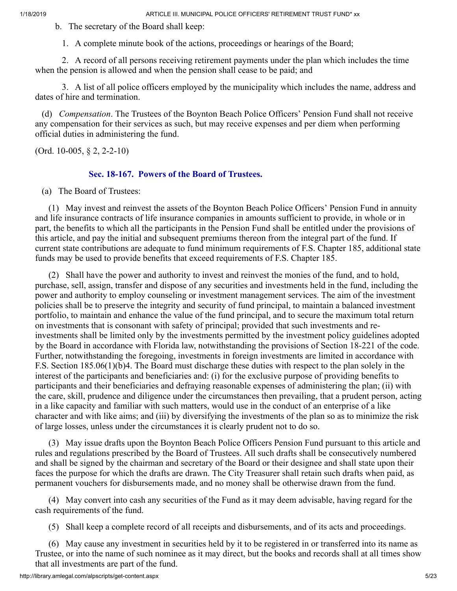b. The secretary of the Board shall keep:

1. A complete minute book of the actions, proceedings or hearings of the Board;

 2. A record of all persons receiving retirement payments under the plan which includes the time when the pension is allowed and when the pension shall cease to be paid; and

 3. A list of all police officers employed by the municipality which includes the name, address and dates of hire and termination.

 (d) *Compensation*. The Trustees of the Boynton Beach Police Officers' Pension Fund shall not receive any compensation for their services as such, but may receive expenses and per diem when performing official duties in administering the fund.

(Ord. 10-005, § 2, 2-2-10)

### **Sec. 18-167. Powers of the Board of Trustees.**

(a) The Board of Trustees:

 (1) May invest and reinvest the assets of the Boynton Beach Police Officers' Pension Fund in annuity and life insurance contracts of life insurance companies in amounts sufficient to provide, in whole or in part, the benefits to which all the participants in the Pension Fund shall be entitled under the provisions of this article, and pay the initial and subsequent premiums thereon from the integral part of the fund. If current state contributions are adequate to fund minimum requirements of F.S. Chapter 185, additional state funds may be used to provide benefits that exceed requirements of F.S. Chapter 185.

 (2) Shall have the power and authority to invest and reinvest the monies of the fund, and to hold, purchase, sell, assign, transfer and dispose of any securities and investments held in the fund, including the power and authority to employ counseling or investment management services. The aim of the investment policies shall be to preserve the integrity and security of fund principal, to maintain a balanced investment portfolio, to maintain and enhance the value of the fund principal, and to secure the maximum total return on investments that is consonant with safety of principal; provided that such investments and reinvestments shall be limited only by the investments permitted by the investment policy guidelines adopted by the Board in accordance with Florida law, notwithstanding the provisions of Section 18-221 of the code. Further, notwithstanding the foregoing, investments in foreign investments are limited in accordance with F.S. Section 185.06(1)(b)4. The Board must discharge these duties with respect to the plan solely in the interest of the participants and beneficiaries and: (i) for the exclusive purpose of providing benefits to participants and their beneficiaries and defraying reasonable expenses of administering the plan; (ii) with the care, skill, prudence and diligence under the circumstances then prevailing, that a prudent person, acting in a like capacity and familiar with such matters, would use in the conduct of an enterprise of a like character and with like aims; and (iii) by diversifying the investments of the plan so as to minimize the risk of large losses, unless under the circumstances it is clearly prudent not to do so.

 (3) May issue drafts upon the Boynton Beach Police Officers Pension Fund pursuant to this article and rules and regulations prescribed by the Board of Trustees. All such drafts shall be consecutively numbered and shall be signed by the chairman and secretary of the Board or their designee and shall state upon their faces the purpose for which the drafts are drawn. The City Treasurer shall retain such drafts when paid, as permanent vouchers for disbursements made, and no money shall be otherwise drawn from the fund.

 (4) May convert into cash any securities of the Fund as it may deem advisable, having regard for the cash requirements of the fund.

(5) Shall keep a complete record of all receipts and disbursements, and of its acts and proceedings.

 (6) May cause any investment in securities held by it to be registered in or transferred into its name as Trustee, or into the name of such nominee as it may direct, but the books and records shall at all times show that all investments are part of the fund.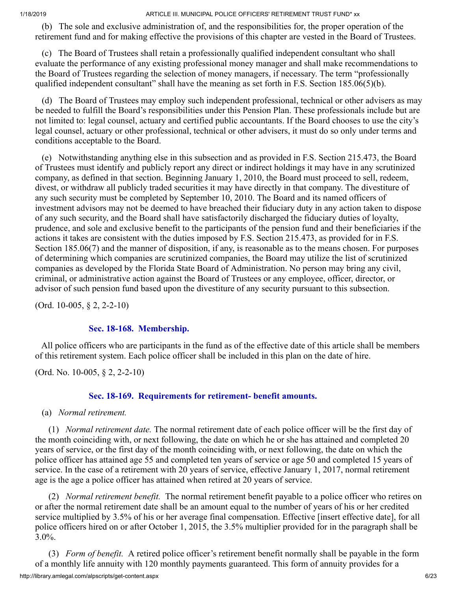(b) The sole and exclusive administration of, and the responsibilities for, the proper operation of the retirement fund and for making effective the provisions of this chapter are vested in the Board of Trustees.

 (c) The Board of Trustees shall retain a professionally qualified independent consultant who shall evaluate the performance of any existing professional money manager and shall make recommendations to the Board of Trustees regarding the selection of money managers, if necessary. The term "professionally qualified independent consultant" shall have the meaning as set forth in F.S. Section  $185.06(5)(b)$ .

 (d) The Board of Trustees may employ such independent professional, technical or other advisers as may be needed to fulfill the Board's responsibilities under this Pension Plan. These professionals include but are not limited to: legal counsel, actuary and certified public accountants. If the Board chooses to use the city's legal counsel, actuary or other professional, technical or other advisers, it must do so only under terms and conditions acceptable to the Board.

 (e) Notwithstanding anything else in this subsection and as provided in F.S. Section 215.473, the Board of Trustees must identify and publicly report any direct or indirect holdings it may have in any scrutinized company, as defined in that section. Beginning January 1, 2010, the Board must proceed to sell, redeem, divest, or withdraw all publicly traded securities it may have directly in that company. The divestiture of any such security must be completed by September 10, 2010. The Board and its named officers of investment advisors may not be deemed to have breached their fiduciary duty in any action taken to dispose of any such security, and the Board shall have satisfactorily discharged the fiduciary duties of loyalty, prudence, and sole and exclusive benefit to the participants of the pension fund and their beneficiaries if the actions it takes are consistent with the duties imposed by F.S. Section 215.473, as provided for in F.S. Section 185.06(7) and the manner of disposition, if any, is reasonable as to the means chosen. For purposes of determining which companies are scrutinized companies, the Board may utilize the list of scrutinized companies as developed by the Florida State Board of Administration. No person may bring any civil, criminal, or administrative action against the Board of Trustees or any employee, officer, director, or advisor of such pension fund based upon the divestiture of any security pursuant to this subsection.

(Ord. 10-005, § 2, 2-2-10)

### **Sec. 18-168. Membership.**

 All police officers who are participants in the fund as of the effective date of this article shall be members of this retirement system. Each police officer shall be included in this plan on the date of hire.

(Ord. No. 10-005, § 2, 2-2-10)

### **Sec. 18-169. Requirements for retirement- benefit amounts.**

(a) *Normal retirement.*

 (1) *Normal retirement date.* The normal retirement date of each police officer will be the first day of the month coinciding with, or next following, the date on which he or she has attained and completed 20 years of service, or the first day of the month coinciding with, or next following, the date on which the police officer has attained age 55 and completed ten years of service or age 50 and completed 15 years of service. In the case of a retirement with 20 years of service, effective January 1, 2017, normal retirement age is the age a police officer has attained when retired at 20 years of service.

 (2) *Normal retirement benefit.* The normal retirement benefit payable to a police officer who retires on or after the normal retirement date shall be an amount equal to the number of years of his or her credited service multiplied by 3.5% of his or her average final compensation. Effective [insert effective date], for all police officers hired on or after October 1, 2015, the 3.5% multiplier provided for in the paragraph shall be 3.0%.

http://library.amlegal.com/alpscripts/get-content.aspx 6/23 (3) *Form of benefit.* A retired police officer's retirement benefit normally shall be payable in the form of a monthly life annuity with 120 monthly payments guaranteed. This form of annuity provides for a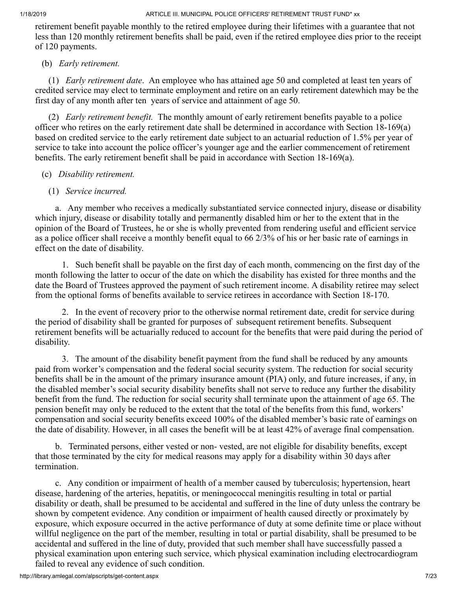retirement benefit payable monthly to the retired employee during their lifetimes with a guarantee that not less than 120 monthly retirement benefits shall be paid, even if the retired employee dies prior to the receipt of 120 payments.

### (b) *Early retirement.*

 (1) *Early retirement date*. An employee who has attained age 50 and completed at least ten years of credited service may elect to terminate employment and retire on an early retirement datewhich may be the first day of any month after ten years of service and attainment of age 50.

 (2) *Early retirement benefit.* The monthly amount of early retirement benefits payable to a police officer who retires on the early retirement date shall be determined in accordance with Section 18-169(a) based on credited service to the early retirement date subject to an actuarial reduction of 1.5% per year of service to take into account the police officer's younger age and the earlier commencement of retirement benefits. The early retirement benefit shall be paid in accordance with Section 18-169(a).

### (c) *Disability retirement.*

# (1) *Service incurred.*

 a. Any member who receives a medically substantiated service connected injury, disease or disability which injury, disease or disability totally and permanently disabled him or her to the extent that in the opinion of the Board of Trustees, he or she is wholly prevented from rendering useful and efficient service as a police officer shall receive a monthly benefit equal to 66 2/3% of his or her basic rate of earnings in effect on the date of disability.

 1. Such benefit shall be payable on the first day of each month, commencing on the first day of the month following the latter to occur of the date on which the disability has existed for three months and the date the Board of Trustees approved the payment of such retirement income. A disability retiree may select from the optional forms of benefits available to service retirees in accordance with Section 18-170.

 2. In the event of recovery prior to the otherwise normal retirement date, credit for service during the period of disability shall be granted for purposes of subsequent retirement benefits. Subsequent retirement benefits will be actuarially reduced to account for the benefits that were paid during the period of disability.

 3. The amount of the disability benefit payment from the fund shall be reduced by any amounts paid from worker's compensation and the federal social security system. The reduction for social security benefits shall be in the amount of the primary insurance amount (PIA) only, and future increases, if any, in the disabled member's social security disability benefits shall not serve to reduce any further the disability benefit from the fund. The reduction for social security shall terminate upon the attainment of age 65. The pension benefit may only be reduced to the extent that the total of the benefits from this fund, workers' compensation and social security benefits exceed 100% of the disabled member's basic rate of earnings on the date of disability. However, in all cases the benefit will be at least 42% of average final compensation.

 b. Terminated persons, either vested or non- vested, are not eligible for disability benefits, except that those terminated by the city for medical reasons may apply for a disability within 30 days after termination.

 c. Any condition or impairment of health of a member caused by tuberculosis; hypertension, heart disease, hardening of the arteries, hepatitis, or meningococcal meningitis resulting in total or partial disability or death, shall be presumed to be accidental and suffered in the line of duty unless the contrary be shown by competent evidence. Any condition or impairment of health caused directly or proximately by exposure, which exposure occurred in the active performance of duty at some definite time or place without willful negligence on the part of the member, resulting in total or partial disability, shall be presumed to be accidental and suffered in the line of duty, provided that such member shall have successfully passed a physical examination upon entering such service, which physical examination including electrocardiogram failed to reveal any evidence of such condition.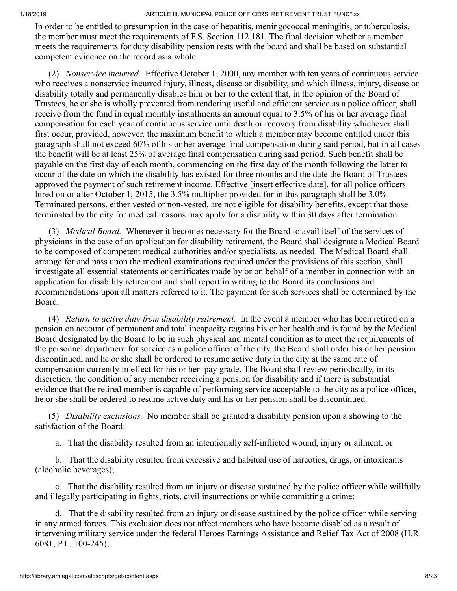In order to be entitled to presumption in the case of hepatitis, meningococcal meningitis, or tuberculosis, the member must meet the requirements of F.S. Section 112.181. The final decision whether a member meets the requirements for duty disability pension rests with the board and shall be based on substantial competent evidence on the record as a whole.

 (2) *Nonservice incurred.* Effective October 1, 2000, any member with ten years of continuous service who receives a nonservice incurred injury, illness, disease or disability, and which illness, injury, disease or disability totally and permanently disables him or her to the extent that, in the opinion of the Board of Trustees, he or she is wholly prevented from rendering useful and efficient service as a police officer, shall receive from the fund in equal monthly installments an amount equal to 3.5% of his or her average final compensation for each year of continuous service until death or recovery from disability whichever shall first occur, provided, however, the maximum benefit to which a member may become entitled under this paragraph shall not exceed 60% of his or her average final compensation during said period, but in all cases the benefit will be at least 25% of average final compensation during said period. Such benefit shall be payable on the first day of each month, commencing on the first day of the month following the latter to occur of the date on which the disability has existed for three months and the date the Board of Trustees approved the payment of such retirement income. Effective [insert effective date], for all police officers hired on or after October 1, 2015, the 3.5% multiplier provided for in this paragraph shall be 3.0%. Terminated persons, either vested or non-vested, are not eligible for disability benefits, except that those terminated by the city for medical reasons may apply for a disability within 30 days after termination.

 (3) *Medical Board.* Whenever it becomes necessary for the Board to avail itself of the services of physicians in the case of an application for disability retirement, the Board shall designate a Medical Board to be composed of competent medical authorities and/or specialists, as needed. The Medical Board shall arrange for and pass upon the medical examinations required under the provisions of this section, shall investigate all essential statements or certificates made by or on behalf of a member in connection with an application for disability retirement and shall report in writing to the Board its conclusions and recommendations upon all matters referred to it. The payment for such services shall be determined by the Board.

 (4) *Return to active duty from disability retirement.* In the event a member who has been retired on a pension on account of permanent and total incapacity regains his or her health and is found by the Medical Board designated by the Board to be in such physical and mental condition as to meet the requirements of the personnel department for service as a police officer of the city, the Board shall order his or her pension discontinued, and he or she shall be ordered to resume active duty in the city at the same rate of compensation currently in effect for his or her pay grade. The Board shall review periodically, in its discretion, the condition of any member receiving a pension for disability and if there is substantial evidence that the retired member is capable of performing service acceptable to the city as a police officer, he or she shall be ordered to resume active duty and his or her pension shall be discontinued.

 (5) *Disability exclusions.* No member shall be granted a disability pension upon a showing to the satisfaction of the Board:

a. That the disability resulted from an intentionally self-inflicted wound, injury or ailment, or

 b. That the disability resulted from excessive and habitual use of narcotics, drugs, or intoxicants (alcoholic beverages);

 c. That the disability resulted from an injury or disease sustained by the police officer while willfully and illegally participating in fights, riots, civil insurrections or while committing a crime;

 d. That the disability resulted from an injury or disease sustained by the police officer while serving in any armed forces. This exclusion does not affect members who have become disabled as a result of intervening military service under the federal Heroes Earnings Assistance and Relief Tax Act of 2008 (H.R. 6081; P.L. 100-245);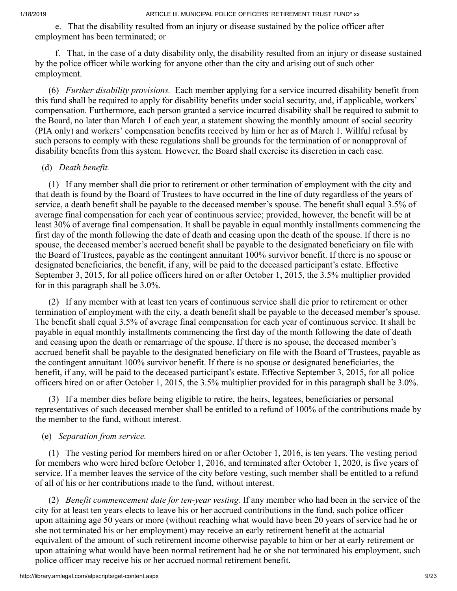e. That the disability resulted from an injury or disease sustained by the police officer after employment has been terminated; or

 f. That, in the case of a duty disability only, the disability resulted from an injury or disease sustained by the police officer while working for anyone other than the city and arising out of such other employment.

 (6) *Further disability provisions.* Each member applying for a service incurred disability benefit from this fund shall be required to apply for disability benefits under social security, and, if applicable, workers' compensation. Furthermore, each person granted a service incurred disability shall be required to submit to the Board, no later than March 1 of each year, a statement showing the monthly amount of social security (PIA only) and workers' compensation benefits received by him or her as of March 1. Willful refusal by such persons to comply with these regulations shall be grounds for the termination of or nonapproval of disability benefits from this system. However, the Board shall exercise its discretion in each case.

#### (d) *Death benefit.*

 (1) If any member shall die prior to retirement or other termination of employment with the city and that death is found by the Board of Trustees to have occurred in the line of duty regardless of the years of service, a death benefit shall be payable to the deceased member's spouse. The benefit shall equal 3.5% of average final compensation for each year of continuous service; provided, however, the benefit will be at least 30% of average final compensation. It shall be payable in equal monthly installments commencing the first day of the month following the date of death and ceasing upon the death of the spouse. If there is no spouse, the deceased member's accrued benefit shall be payable to the designated beneficiary on file with the Board of Trustees, payable as the contingent annuitant 100% survivor benefit. If there is no spouse or designated beneficiaries, the benefit, if any, will be paid to the deceased participant's estate. Effective September 3, 2015, for all police officers hired on or after October 1, 2015, the 3.5% multiplier provided for in this paragraph shall be 3.0%.

 (2) If any member with at least ten years of continuous service shall die prior to retirement or other termination of employment with the city, a death benefit shall be payable to the deceased member's spouse. The benefit shall equal 3.5% of average final compensation for each year of continuous service. It shall be payable in equal monthly installments commencing the first day of the month following the date of death and ceasing upon the death or remarriage of the spouse. If there is no spouse, the deceased member's accrued benefit shall be payable to the designated beneficiary on file with the Board of Trustees, payable as the contingent annuitant 100% survivor benefit. If there is no spouse or designated beneficiaries, the benefit, if any, will be paid to the deceased participant's estate. Effective September 3, 2015, for all police officers hired on or after October 1, 2015, the 3.5% multiplier provided for in this paragraph shall be 3.0%.

 (3) If a member dies before being eligible to retire, the heirs, legatees, beneficiaries or personal representatives of such deceased member shall be entitled to a refund of 100% of the contributions made by the member to the fund, without interest.

### (e) *Separation from service.*

 (1) The vesting period for members hired on or after October 1, 2016, is ten years. The vesting period for members who were hired before October 1, 2016, and terminated after October 1, 2020, is five years of service. If a member leaves the service of the city before vesting, such member shall be entitled to a refund of all of his or her contributions made to the fund, without interest.

 (2) *Benefit commencement date for ten-year vesting.* If any member who had been in the service of the city for at least ten years elects to leave his or her accrued contributions in the fund, such police officer upon attaining age 50 years or more (without reaching what would have been 20 years of service had he or she not terminated his or her employment) may receive an early retirement benefit at the actuarial equivalent of the amount of such retirement income otherwise payable to him or her at early retirement or upon attaining what would have been normal retirement had he or she not terminated his employment, such police officer may receive his or her accrued normal retirement benefit.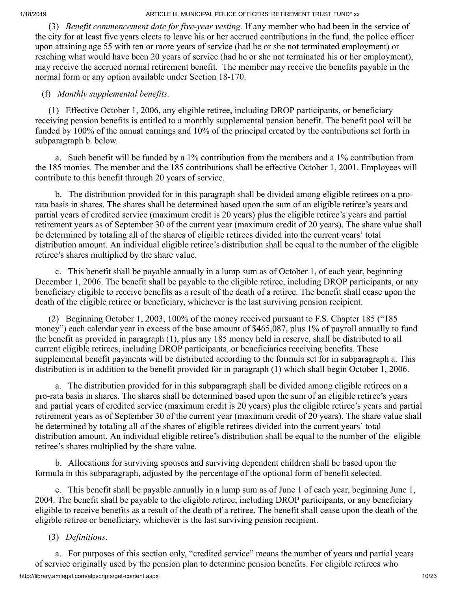(3) *Benefit commencement date for five-year vesting.* If any member who had been in the service of the city for at least five years elects to leave his or her accrued contributions in the fund, the police officer upon attaining age 55 with ten or more years of service (had he or she not terminated employment) or reaching what would have been 20 years of service (had he or she not terminated his or her employment), may receive the accrued normal retirement benefit. The member may receive the benefits payable in the normal form or any option available under Section 18-170.

### (f) *Monthly supplemental benefits.*

 (1) Effective October 1, 2006, any eligible retiree, including DROP participants, or beneficiary receiving pension benefits is entitled to a monthly supplemental pension benefit. The benefit pool will be funded by 100% of the annual earnings and 10% of the principal created by the contributions set forth in subparagraph b. below.

 a. Such benefit will be funded by a 1% contribution from the members and a 1% contribution from the 185 monies. The member and the 185 contributions shall be effective October 1, 2001. Employees will contribute to this benefit through 20 years of service.

 b. The distribution provided for in this paragraph shall be divided among eligible retirees on a prorata basis in shares. The shares shall be determined based upon the sum of an eligible retiree's years and partial years of credited service (maximum credit is 20 years) plus the eligible retiree's years and partial retirement years as of September 30 of the current year (maximum credit of 20 years). The share value shall be determined by totaling all of the shares of eligible retirees divided into the current years' total distribution amount. An individual eligible retiree's distribution shall be equal to the number of the eligible retiree's shares multiplied by the share value.

 c. This benefit shall be payable annually in a lump sum as of October 1, of each year, beginning December 1, 2006. The benefit shall be payable to the eligible retiree, including DROP participants, or any beneficiary eligible to receive benefits as a result of the death of a retiree. The benefit shall cease upon the death of the eligible retiree or beneficiary, whichever is the last surviving pension recipient.

 (2) Beginning October 1, 2003, 100% of the money received pursuant to F.S. Chapter 185 ("185 money") each calendar year in excess of the base amount of \$465,087, plus 1% of payroll annually to fund the benefit as provided in paragraph (1), plus any 185 money held in reserve, shall be distributed to all current eligible retirees, including DROP participants, or beneficiaries receiving benefits. These supplemental benefit payments will be distributed according to the formula set for in subparagraph a. This distribution is in addition to the benefit provided for in paragraph (1) which shall begin October 1, 2006.

 a. The distribution provided for in this subparagraph shall be divided among eligible retirees on a pro-rata basis in shares. The shares shall be determined based upon the sum of an eligible retiree's years and partial years of credited service (maximum credit is 20 years) plus the eligible retiree's years and partial retirement years as of September 30 of the current year (maximum credit of 20 years). The share value shall be determined by totaling all of the shares of eligible retirees divided into the current years' total distribution amount. An individual eligible retiree's distribution shall be equal to the number of the eligible retiree's shares multiplied by the share value.

 b. Allocations for surviving spouses and surviving dependent children shall be based upon the formula in this subparagraph, adjusted by the percentage of the optional form of benefit selected.

 c. This benefit shall be payable annually in a lump sum as of June 1 of each year, beginning June 1, 2004. The benefit shall be payable to the eligible retiree, including DROP participants, or any beneficiary eligible to receive benefits as a result of the death of a retiree. The benefit shall cease upon the death of the eligible retiree or beneficiary, whichever is the last surviving pension recipient.

### (3) *Definitions*.

http://library.amlegal.com/alpscripts/get-content.aspx 10/23 a. For purposes of this section only, "credited service" means the number of years and partial years of service originally used by the pension plan to determine pension benefits. For eligible retirees who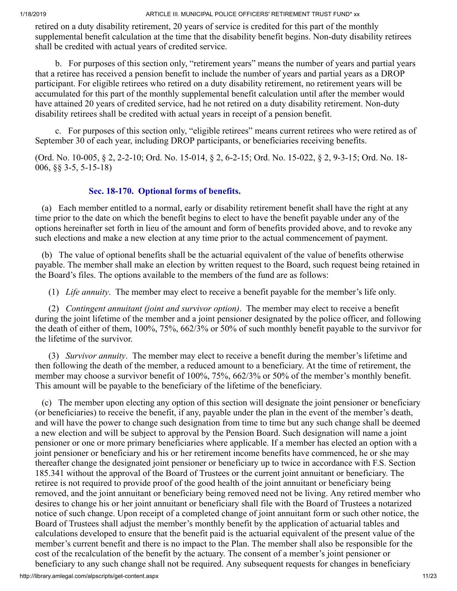retired on a duty disability retirement, 20 years of service is credited for this part of the monthly supplemental benefit calculation at the time that the disability benefit begins. Non-duty disability retirees shall be credited with actual years of credited service.

 b. For purposes of this section only, "retirement years" means the number of years and partial years that a retiree has received a pension benefit to include the number of years and partial years as a DROP participant. For eligible retirees who retired on a duty disability retirement, no retirement years will be accumulated for this part of the monthly supplemental benefit calculation until after the member would have attained 20 years of credited service, had he not retired on a duty disability retirement. Non-duty disability retirees shall be credited with actual years in receipt of a pension benefit.

 c. For purposes of this section only, "eligible retirees" means current retirees who were retired as of September 30 of each year, including DROP participants, or beneficiaries receiving benefits.

(Ord. No. 10-005, § 2, 2-2-10; Ord. No. 15-014, § 2, 6-2-15; Ord. No. 15-022, § 2, 9-3-15; Ord. No. 18- 006, §§ 3-5, 5-15-18)

# **Sec. 18-170. Optional forms of benefits.**

 (a) Each member entitled to a normal, early or disability retirement benefit shall have the right at any time prior to the date on which the benefit begins to elect to have the benefit payable under any of the options hereinafter set forth in lieu of the amount and form of benefits provided above, and to revoke any such elections and make a new election at any time prior to the actual commencement of payment.

 (b) The value of optional benefits shall be the actuarial equivalent of the value of benefits otherwise payable. The member shall make an election by written request to the Board, such request being retained in the Board's files. The options available to the members of the fund are as follows:

(1) *Life annuity*. The member may elect to receive a benefit payable for the member's life only.

 (2) *Contingent annuitant (joint and survivor option)*. The member may elect to receive a benefit during the joint lifetime of the member and a joint pensioner designated by the police officer, and following the death of either of them, 100%, 75%, 662/3% or 50% of such monthly benefit payable to the survivor for the lifetime of the survivor.

 (3) *Survivor annuity*. The member may elect to receive a benefit during the member's lifetime and then following the death of the member, a reduced amount to a beneficiary. At the time of retirement, the member may choose a survivor benefit of 100%, 75%, 662/3% or 50% of the member's monthly benefit. This amount will be payable to the beneficiary of the lifetime of the beneficiary.

 (c) The member upon electing any option of this section will designate the joint pensioner or beneficiary (or beneficiaries) to receive the benefit, if any, payable under the plan in the event of the member's death, and will have the power to change such designation from time to time but any such change shall be deemed a new election and will be subject to approval by the Pension Board. Such designation will name a joint pensioner or one or more primary beneficiaries where applicable. If a member has elected an option with a joint pensioner or beneficiary and his or her retirement income benefits have commenced, he or she may thereafter change the designated joint pensioner or beneficiary up to twice in accordance with F.S. Section 185.341 without the approval of the Board of Trustees or the current joint annuitant or beneficiary. The retiree is not required to provide proof of the good health of the joint annuitant or beneficiary being removed, and the joint annuitant or beneficiary being removed need not be living. Any retired member who desires to change his or her joint annuitant or beneficiary shall file with the Board of Trustees a notarized notice of such change. Upon receipt of a completed change of joint annuitant form or such other notice, the Board of Trustees shall adjust the member's monthly benefit by the application of actuarial tables and calculations developed to ensure that the benefit paid is the actuarial equivalent of the present value of the member's current benefit and there is no impact to the Plan. The member shall also be responsible for the cost of the recalculation of the benefit by the actuary. The consent of a member's joint pensioner or beneficiary to any such change shall not be required. Any subsequent requests for changes in beneficiary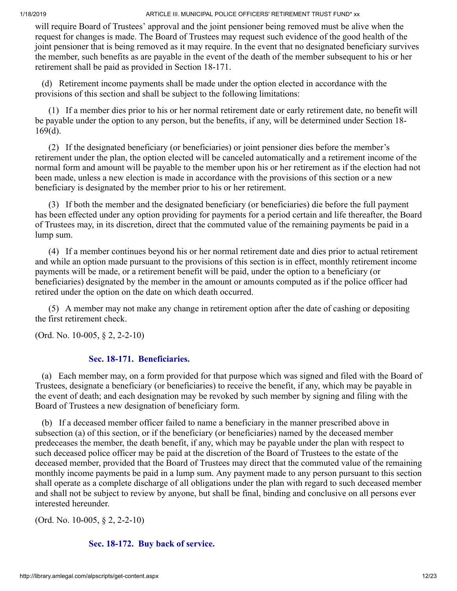will require Board of Trustees' approval and the joint pensioner being removed must be alive when the request for changes is made. The Board of Trustees may request such evidence of the good health of the joint pensioner that is being removed as it may require. In the event that no designated beneficiary survives the member, such benefits as are payable in the event of the death of the member subsequent to his or her retirement shall be paid as provided in Section 18-171.

 (d) Retirement income payments shall be made under the option elected in accordance with the provisions of this section and shall be subject to the following limitations:

 (1) If a member dies prior to his or her normal retirement date or early retirement date, no benefit will be payable under the option to any person, but the benefits, if any, will be determined under Section 18- 169(d).

 (2) If the designated beneficiary (or beneficiaries) or joint pensioner dies before the member's retirement under the plan, the option elected will be canceled automatically and a retirement income of the normal form and amount will be payable to the member upon his or her retirement as if the election had not been made, unless a new election is made in accordance with the provisions of this section or a new beneficiary is designated by the member prior to his or her retirement.

 (3) If both the member and the designated beneficiary (or beneficiaries) die before the full payment has been effected under any option providing for payments for a period certain and life thereafter, the Board of Trustees may, in its discretion, direct that the commuted value of the remaining payments be paid in a lump sum.

 (4) If a member continues beyond his or her normal retirement date and dies prior to actual retirement and while an option made pursuant to the provisions of this section is in effect, monthly retirement income payments will be made, or a retirement benefit will be paid, under the option to a beneficiary (or beneficiaries) designated by the member in the amount or amounts computed as if the police officer had retired under the option on the date on which death occurred.

 (5) A member may not make any change in retirement option after the date of cashing or depositing the first retirement check.

(Ord. No. 10-005, § 2, 2-2-10)

# **Sec. 18-171. Beneficiaries.**

 (a) Each member may, on a form provided for that purpose which was signed and filed with the Board of Trustees, designate a beneficiary (or beneficiaries) to receive the benefit, if any, which may be payable in the event of death; and each designation may be revoked by such member by signing and filing with the Board of Trustees a new designation of beneficiary form.

 (b) If a deceased member officer failed to name a beneficiary in the manner prescribed above in subsection (a) of this section, or if the beneficiary (or beneficiaries) named by the deceased member predeceases the member, the death benefit, if any, which may be payable under the plan with respect to such deceased police officer may be paid at the discretion of the Board of Trustees to the estate of the deceased member, provided that the Board of Trustees may direct that the commuted value of the remaining monthly income payments be paid in a lump sum. Any payment made to any person pursuant to this section shall operate as a complete discharge of all obligations under the plan with regard to such deceased member and shall not be subject to review by anyone, but shall be final, binding and conclusive on all persons ever interested hereunder.

(Ord. No. 10-005, § 2, 2-2-10)

# **Sec. 18-172. Buy back of service.**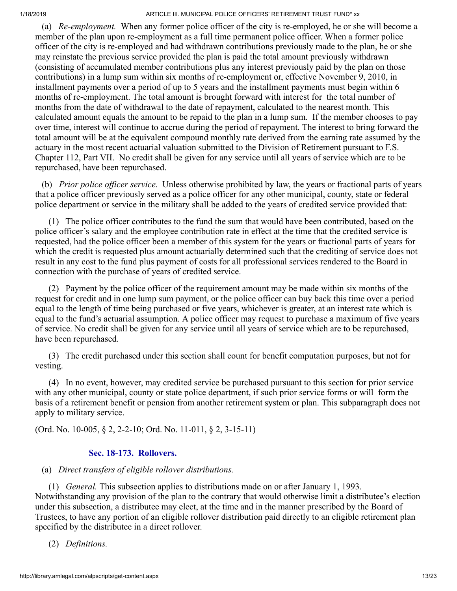(a) *Re-employment.* When any former police officer of the city is re-employed, he or she will become a member of the plan upon re-employment as a full time permanent police officer. When a former police officer of the city is re-employed and had withdrawn contributions previously made to the plan, he or she may reinstate the previous service provided the plan is paid the total amount previously withdrawn (consisting of accumulated member contributions plus any interest previously paid by the plan on those contributions) in a lump sum within six months of re-employment or, effective November 9, 2010, in installment payments over a period of up to 5 years and the installment payments must begin within 6 months of re-employment. The total amount is brought forward with interest for the total number of months from the date of withdrawal to the date of repayment, calculated to the nearest month. This calculated amount equals the amount to be repaid to the plan in a lump sum. If the member chooses to pay over time, interest will continue to accrue during the period of repayment. The interest to bring forward the total amount will be at the equivalent compound monthly rate derived from the earning rate assumed by the actuary in the most recent actuarial valuation submitted to the Division of Retirement pursuant to F.S. Chapter 112, Part VII. No credit shall be given for any service until all years of service which are to be repurchased, have been repurchased.

 (b) *Prior police officer service.* Unless otherwise prohibited by law, the years or fractional parts of years that a police officer previously served as a police officer for any other municipal, county, state or federal police department or service in the military shall be added to the years of credited service provided that:

 (1) The police officer contributes to the fund the sum that would have been contributed, based on the police officer's salary and the employee contribution rate in effect at the time that the credited service is requested, had the police officer been a member of this system for the years or fractional parts of years for which the credit is requested plus amount actuarially determined such that the crediting of service does not result in any cost to the fund plus payment of costs for all professional services rendered to the Board in connection with the purchase of years of credited service.

 (2) Payment by the police officer of the requirement amount may be made within six months of the request for credit and in one lump sum payment, or the police officer can buy back this time over a period equal to the length of time being purchased or five years, whichever is greater, at an interest rate which is equal to the fund's actuarial assumption. A police officer may request to purchase a maximum of five years of service. No credit shall be given for any service until all years of service which are to be repurchased, have been repurchased.

 (3) The credit purchased under this section shall count for benefit computation purposes, but not for vesting.

 (4) In no event, however, may credited service be purchased pursuant to this section for prior service with any other municipal, county or state police department, if such prior service forms or will form the basis of a retirement benefit or pension from another retirement system or plan. This subparagraph does not apply to military service.

(Ord. No. 10-005, § 2, 2-2-10; Ord. No. 11-011, § 2, 3-15-11)

### **Sec. 18-173. Rollovers.**

### (a) *Direct transfers of eligible rollover distributions.*

 (1) *General.* This subsection applies to distributions made on or after January 1, 1993. Notwithstanding any provision of the plan to the contrary that would otherwise limit a distributee's election under this subsection, a distributee may elect, at the time and in the manner prescribed by the Board of Trustees, to have any portion of an eligible rollover distribution paid directly to an eligible retirement plan specified by the distributee in a direct rollover.

(2) *Definitions.*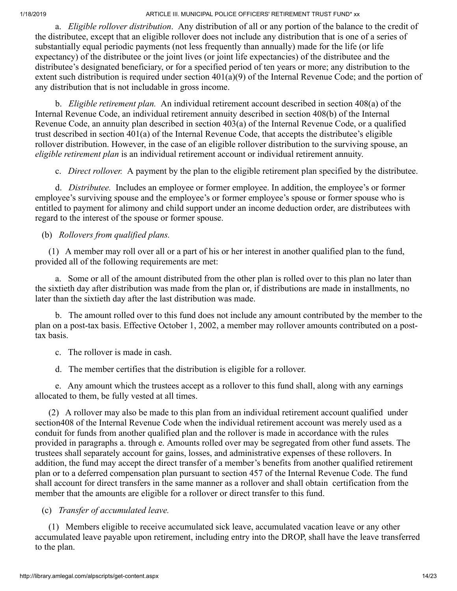a. *Eligible rollover distribution*. Any distribution of all or any portion of the balance to the credit of the distributee, except that an eligible rollover does not include any distribution that is one of a series of substantially equal periodic payments (not less frequently than annually) made for the life (or life expectancy) of the distributee or the joint lives (or joint life expectancies) of the distributee and the distributee's designated beneficiary, or for a specified period of ten years or more; any distribution to the extent such distribution is required under section 401(a)(9) of the Internal Revenue Code; and the portion of any distribution that is not includable in gross income.

 b. *Eligible retirement plan.* An individual retirement account described in section 408(a) of the Internal Revenue Code, an individual retirement annuity described in section 408(b) of the Internal Revenue Code, an annuity plan described in section 403(a) of the Internal Revenue Code, or a qualified trust described in section 401(a) of the Internal Revenue Code, that accepts the distributee's eligible rollover distribution. However, in the case of an eligible rollover distribution to the surviving spouse, an *eligible retirement plan* is an individual retirement account or individual retirement annuity.

c. *Direct rollover.* A payment by the plan to the eligible retirement plan specified by the distributee.

 d. *Distributee.* Includes an employee or former employee. In addition, the employee's or former employee's surviving spouse and the employee's or former employee's spouse or former spouse who is entitled to payment for alimony and child support under an income deduction order, are distributees with regard to the interest of the spouse or former spouse.

(b) *Rollovers from qualified plans.*

 (1) A member may roll over all or a part of his or her interest in another qualified plan to the fund, provided all of the following requirements are met:

 a. Some or all of the amount distributed from the other plan is rolled over to this plan no later than the sixtieth day after distribution was made from the plan or, if distributions are made in installments, no later than the sixtieth day after the last distribution was made.

 b. The amount rolled over to this fund does not include any amount contributed by the member to the plan on a post-tax basis. Effective October 1, 2002, a member may rollover amounts contributed on a posttax basis.

c. The rollover is made in cash.

d. The member certifies that the distribution is eligible for a rollover.

 e. Any amount which the trustees accept as a rollover to this fund shall, along with any earnings allocated to them, be fully vested at all times.

 (2) A rollover may also be made to this plan from an individual retirement account qualified under section408 of the Internal Revenue Code when the individual retirement account was merely used as a conduit for funds from another qualified plan and the rollover is made in accordance with the rules provided in paragraphs a. through e. Amounts rolled over may be segregated from other fund assets. The trustees shall separately account for gains, losses, and administrative expenses of these rollovers. In addition, the fund may accept the direct transfer of a member's benefits from another qualified retirement plan or to a deferred compensation plan pursuant to section 457 of the Internal Revenue Code. The fund shall account for direct transfers in the same manner as a rollover and shall obtain certification from the member that the amounts are eligible for a rollover or direct transfer to this fund.

(c) *Transfer of accumulated leave.*

 (1) Members eligible to receive accumulated sick leave, accumulated vacation leave or any other accumulated leave payable upon retirement, including entry into the DROP, shall have the leave transferred to the plan.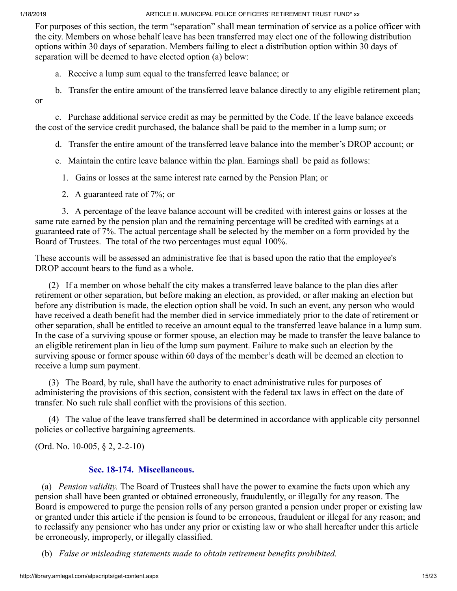or

1/18/2019 ARTICLE III. MUNICIPAL POLICE OFFICERS' RETIREMENT TRUST FUND\* xx

For purposes of this section, the term "separation" shall mean termination of service as a police officer with the city. Members on whose behalf leave has been transferred may elect one of the following distribution options within 30 days of separation. Members failing to elect a distribution option within 30 days of separation will be deemed to have elected option (a) below:

a. Receive a lump sum equal to the transferred leave balance; or

b. Transfer the entire amount of the transferred leave balance directly to any eligible retirement plan;

 c. Purchase additional service credit as may be permitted by the Code. If the leave balance exceeds the cost of the service credit purchased, the balance shall be paid to the member in a lump sum; or

d. Transfer the entire amount of the transferred leave balance into the member's DROP account; or

e. Maintain the entire leave balance within the plan. Earnings shall be paid as follows:

1. Gains or losses at the same interest rate earned by the Pension Plan; or

2. A guaranteed rate of 7%; or

 3. A percentage of the leave balance account will be credited with interest gains or losses at the same rate earned by the pension plan and the remaining percentage will be credited with earnings at a guaranteed rate of 7%. The actual percentage shall be selected by the member on a form provided by the Board of Trustees. The total of the two percentages must equal 100%.

These accounts will be assessed an administrative fee that is based upon the ratio that the employee's DROP account bears to the fund as a whole.

 (2) If a member on whose behalf the city makes a transferred leave balance to the plan dies after retirement or other separation, but before making an election, as provided, or after making an election but before any distribution is made, the election option shall be void. In such an event, any person who would have received a death benefit had the member died in service immediately prior to the date of retirement or other separation, shall be entitled to receive an amount equal to the transferred leave balance in a lump sum. In the case of a surviving spouse or former spouse, an election may be made to transfer the leave balance to an eligible retirement plan in lieu of the lump sum payment. Failure to make such an election by the surviving spouse or former spouse within 60 days of the member's death will be deemed an election to receive a lump sum payment.

 (3) The Board, by rule, shall have the authority to enact administrative rules for purposes of administering the provisions of this section, consistent with the federal tax laws in effect on the date of transfer. No such rule shall conflict with the provisions of this section.

 (4) The value of the leave transferred shall be determined in accordance with applicable city personnel policies or collective bargaining agreements.

(Ord. No. 10-005, § 2, 2-2-10)

### **Sec. 18-174. Miscellaneous.**

 (a) *Pension validity.* The Board of Trustees shall have the power to examine the facts upon which any pension shall have been granted or obtained erroneously, fraudulently, or illegally for any reason. The Board is empowered to purge the pension rolls of any person granted a pension under proper or existing law or granted under this article if the pension is found to be erroneous, fraudulent or illegal for any reason; and to reclassify any pensioner who has under any prior or existing law or who shall hereafter under this article be erroneously, improperly, or illegally classified.

(b) *False or misleading statements made to obtain retirement benefits prohibited.*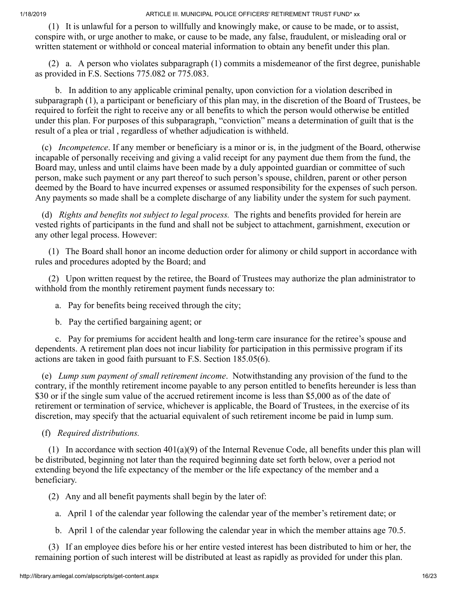(1) It is unlawful for a person to willfully and knowingly make, or cause to be made, or to assist, conspire with, or urge another to make, or cause to be made, any false, fraudulent, or misleading oral or written statement or withhold or conceal material information to obtain any benefit under this plan.

 (2) a. A person who violates subparagraph (1) commits a misdemeanor of the first degree, punishable as provided in F.S. Sections 775.082 or 775.083.

 b. In addition to any applicable criminal penalty, upon conviction for a violation described in subparagraph (1), a participant or beneficiary of this plan may, in the discretion of the Board of Trustees, be required to forfeit the right to receive any or all benefits to which the person would otherwise be entitled under this plan. For purposes of this subparagraph, "conviction" means a determination of guilt that is the result of a plea or trial , regardless of whether adjudication is withheld.

 (c) *Incompetence*. If any member or beneficiary is a minor or is, in the judgment of the Board, otherwise incapable of personally receiving and giving a valid receipt for any payment due them from the fund, the Board may, unless and until claims have been made by a duly appointed guardian or committee of such person, make such payment or any part thereof to such person's spouse, children, parent or other person deemed by the Board to have incurred expenses or assumed responsibility for the expenses of such person. Any payments so made shall be a complete discharge of any liability under the system for such payment.

 (d) *Rights and benefits not subject to legal process.* The rights and benefits provided for herein are vested rights of participants in the fund and shall not be subject to attachment, garnishment, execution or any other legal process. However:

 (1) The Board shall honor an income deduction order for alimony or child support in accordance with rules and procedures adopted by the Board; and

 (2) Upon written request by the retiree, the Board of Trustees may authorize the plan administrator to withhold from the monthly retirement payment funds necessary to:

a. Pay for benefits being received through the city;

b. Pay the certified bargaining agent; or

 c. Pay for premiums for accident health and long-term care insurance for the retiree's spouse and dependents. A retirement plan does not incur liability for participation in this permissive program if its actions are taken in good faith pursuant to F.S. Section 185.05(6).

 (e) *Lump sum payment of small retirement income*. Notwithstanding any provision of the fund to the contrary, if the monthly retirement income payable to any person entitled to benefits hereunder is less than \$30 or if the single sum value of the accrued retirement income is less than \$5,000 as of the date of retirement or termination of service, whichever is applicable, the Board of Trustees, in the exercise of its discretion, may specify that the actuarial equivalent of such retirement income be paid in lump sum.

(f) *Required distributions.*

(1) In accordance with section  $401(a)(9)$  of the Internal Revenue Code, all benefits under this plan will be distributed, beginning not later than the required beginning date set forth below, over a period not extending beyond the life expectancy of the member or the life expectancy of the member and a beneficiary.

(2) Any and all benefit payments shall begin by the later of:

a. April 1 of the calendar year following the calendar year of the member's retirement date; or

b. April 1 of the calendar year following the calendar year in which the member attains age 70.5.

 (3) If an employee dies before his or her entire vested interest has been distributed to him or her, the remaining portion of such interest will be distributed at least as rapidly as provided for under this plan.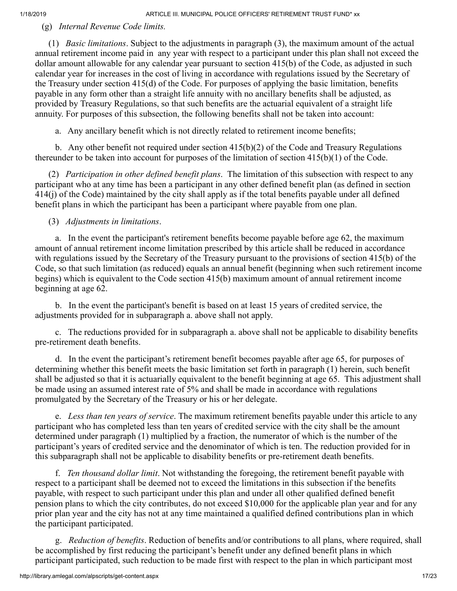(g) *Internal Revenue Code limits.*

 (1) *Basic limitations*. Subject to the adjustments in paragraph (3), the maximum amount of the actual annual retirement income paid in any year with respect to a participant under this plan shall not exceed the dollar amount allowable for any calendar year pursuant to section 415(b) of the Code, as adjusted in such calendar year for increases in the cost of living in accordance with regulations issued by the Secretary of the Treasury under section 415(d) of the Code. For purposes of applying the basic limitation, benefits payable in any form other than a straight life annuity with no ancillary benefits shall be adjusted, as provided by Treasury Regulations, so that such benefits are the actuarial equivalent of a straight life annuity. For purposes of this subsection, the following benefits shall not be taken into account:

a. Any ancillary benefit which is not directly related to retirement income benefits;

 b. Any other benefit not required under section 415(b)(2) of the Code and Treasury Regulations thereunder to be taken into account for purposes of the limitation of section 415(b)(1) of the Code.

 (2) *Participation in other defined benefit plans*. The limitation of this subsection with respect to any participant who at any time has been a participant in any other defined benefit plan (as defined in section 414(j) of the Code) maintained by the city shall apply as if the total benefits payable under all defined benefit plans in which the participant has been a participant where payable from one plan.

(3) *Adjustments in limitations*.

 a. In the event the participant's retirement benefits become payable before age 62, the maximum amount of annual retirement income limitation prescribed by this article shall be reduced in accordance with regulations issued by the Secretary of the Treasury pursuant to the provisions of section 415(b) of the Code, so that such limitation (as reduced) equals an annual benefit (beginning when such retirement income begins) which is equivalent to the Code section 415(b) maximum amount of annual retirement income beginning at age 62.

 b. In the event the participant's benefit is based on at least 15 years of credited service, the adjustments provided for in subparagraph a. above shall not apply.

 c. The reductions provided for in subparagraph a. above shall not be applicable to disability benefits pre-retirement death benefits.

 d. In the event the participant's retirement benefit becomes payable after age 65, for purposes of determining whether this benefit meets the basic limitation set forth in paragraph (1) herein, such benefit shall be adjusted so that it is actuarially equivalent to the benefit beginning at age 65. This adjustment shall be made using an assumed interest rate of 5% and shall be made in accordance with regulations promulgated by the Secretary of the Treasury or his or her delegate.

 e. *Less than ten years of service*. The maximum retirement benefits payable under this article to any participant who has completed less than ten years of credited service with the city shall be the amount determined under paragraph (1) multiplied by a fraction, the numerator of which is the number of the participant's years of credited service and the denominator of which is ten. The reduction provided for in this subparagraph shall not be applicable to disability benefits or pre-retirement death benefits.

 f. *Ten thousand dollar limit*. Not withstanding the foregoing, the retirement benefit payable with respect to a participant shall be deemed not to exceed the limitations in this subsection if the benefits payable, with respect to such participant under this plan and under all other qualified defined benefit pension plans to which the city contributes, do not exceed \$10,000 for the applicable plan year and for any prior plan year and the city has not at any time maintained a qualified defined contributions plan in which the participant participated.

 g. *Reduction of benefits*. Reduction of benefits and/or contributions to all plans, where required, shall be accomplished by first reducing the participant's benefit under any defined benefit plans in which participant participated, such reduction to be made first with respect to the plan in which participant most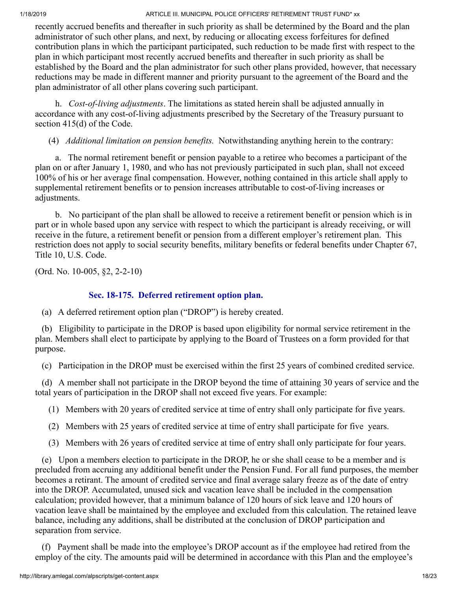recently accrued benefits and thereafter in such priority as shall be determined by the Board and the plan administrator of such other plans, and next, by reducing or allocating excess forfeitures for defined contribution plans in which the participant participated, such reduction to be made first with respect to the plan in which participant most recently accrued benefits and thereafter in such priority as shall be established by the Board and the plan administrator for such other plans provided, however, that necessary reductions may be made in different manner and priority pursuant to the agreement of the Board and the plan administrator of all other plans covering such participant.

 h. *Cost-of-living adjustments*. The limitations as stated herein shall be adjusted annually in accordance with any cost-of-living adjustments prescribed by the Secretary of the Treasury pursuant to section 415(d) of the Code.

(4) *Additional limitation on pension benefits.* Notwithstanding anything herein to the contrary:

 a. The normal retirement benefit or pension payable to a retiree who becomes a participant of the plan on or after January 1, 1980, and who has not previously participated in such plan, shall not exceed 100% of his or her average final compensation. However, nothing contained in this article shall apply to supplemental retirement benefits or to pension increases attributable to cost-of-living increases or adjustments.

 b. No participant of the plan shall be allowed to receive a retirement benefit or pension which is in part or in whole based upon any service with respect to which the participant is already receiving, or will receive in the future, a retirement benefit or pension from a different employer's retirement plan. This restriction does not apply to social security benefits, military benefits or federal benefits under Chapter 67, Title 10, U.S. Code.

(Ord. No. 10-005, §2, 2-2-10)

# **Sec. 18-175. Deferred retirement option plan.**

(a) A deferred retirement option plan ("DROP") is hereby created.

 (b) Eligibility to participate in the DROP is based upon eligibility for normal service retirement in the plan. Members shall elect to participate by applying to the Board of Trustees on a form provided for that purpose.

(c) Participation in the DROP must be exercised within the first 25 years of combined credited service.

 (d) A member shall not participate in the DROP beyond the time of attaining 30 years of service and the total years of participation in the DROP shall not exceed five years. For example:

(1) Members with 20 years of credited service at time of entry shall only participate for five years.

- (2) Members with 25 years of credited service at time of entry shall participate for five years.
- (3) Members with 26 years of credited service at time of entry shall only participate for four years.

 (e) Upon a members election to participate in the DROP, he or she shall cease to be a member and is precluded from accruing any additional benefit under the Pension Fund. For all fund purposes, the member becomes a retirant. The amount of credited service and final average salary freeze as of the date of entry into the DROP. Accumulated, unused sick and vacation leave shall be included in the compensation calculation; provided however, that a minimum balance of 120 hours of sick leave and 120 hours of vacation leave shall be maintained by the employee and excluded from this calculation. The retained leave balance, including any additions, shall be distributed at the conclusion of DROP participation and separation from service.

 (f) Payment shall be made into the employee's DROP account as if the employee had retired from the employ of the city. The amounts paid will be determined in accordance with this Plan and the employee's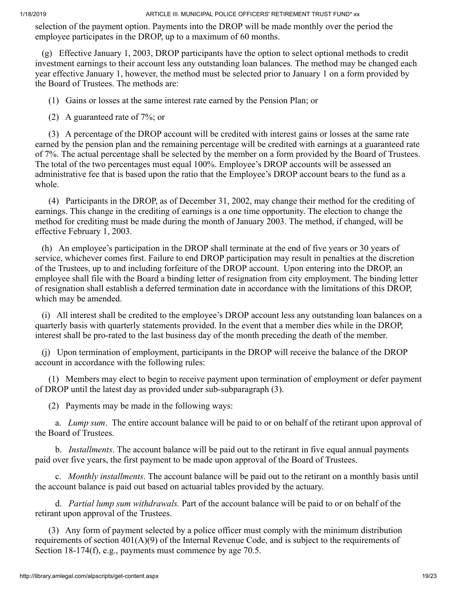selection of the payment option. Payments into the DROP will be made monthly over the period the employee participates in the DROP, up to a maximum of 60 months.

 (g) Effective January 1, 2003, DROP participants have the option to select optional methods to credit investment earnings to their account less any outstanding loan balances. The method may be changed each year effective January 1, however, the method must be selected prior to January 1 on a form provided by the Board of Trustees. The methods are:

(1) Gains or losses at the same interest rate earned by the Pension Plan; or

(2) A guaranteed rate of 7%; or

 (3) A percentage of the DROP account will be credited with interest gains or losses at the same rate earned by the pension plan and the remaining percentage will be credited with earnings at a guaranteed rate of 7%. The actual percentage shall be selected by the member on a form provided by the Board of Trustees. The total of the two percentages must equal 100%. Employee's DROP accounts will be assessed an administrative fee that is based upon the ratio that the Employee's DROP account bears to the fund as a whole.

 (4) Participants in the DROP, as of December 31, 2002, may change their method for the crediting of earnings. This change in the crediting of earnings is a one time opportunity. The election to change the method for crediting must be made during the month of January 2003. The method, if changed, will be effective February 1, 2003.

 (h) An employee's participation in the DROP shall terminate at the end of five years or 30 years of service, whichever comes first. Failure to end DROP participation may result in penalties at the discretion of the Trustees, up to and including forfeiture of the DROP account. Upon entering into the DROP, an employee shall file with the Board a binding letter of resignation from city employment. The binding letter of resignation shall establish a deferred termination date in accordance with the limitations of this DROP, which may be amended.

 (i) All interest shall be credited to the employee's DROP account less any outstanding loan balances on a quarterly basis with quarterly statements provided. In the event that a member dies while in the DROP, interest shall be pro-rated to the last business day of the month preceding the death of the member.

 (j) Upon termination of employment, participants in the DROP will receive the balance of the DROP account in accordance with the following rules:

 (1) Members may elect to begin to receive payment upon termination of employment or defer payment of DROP until the latest day as provided under sub-subparagraph (3).

(2) Payments may be made in the following ways:

 a. *Lump sum*. The entire account balance will be paid to or on behalf of the retirant upon approval of the Board of Trustees.

 b. *Installments*. The account balance will be paid out to the retirant in five equal annual payments paid over five years, the first payment to be made upon approval of the Board of Trustees.

 c. *Monthly installments*. The account balance will be paid out to the retirant on a monthly basis until the account balance is paid out based on actuarial tables provided by the actuary.

 d. *Partial lump sum withdrawals.* Part of the account balance will be paid to or on behalf of the retirant upon approval of the Trustees.

 (3) Any form of payment selected by a police officer must comply with the minimum distribution requirements of section  $401(A)(9)$  of the Internal Revenue Code, and is subject to the requirements of Section 18-174(f), e.g., payments must commence by age 70.5.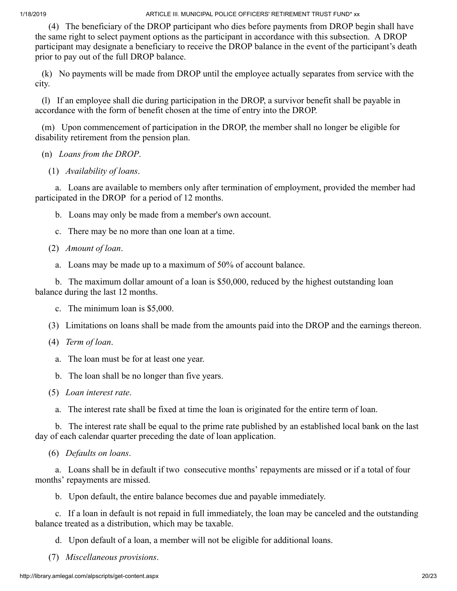(4) The beneficiary of the DROP participant who dies before payments from DROP begin shall have the same right to select payment options as the participant in accordance with this subsection. A DROP participant may designate a beneficiary to receive the DROP balance in the event of the participant's death prior to pay out of the full DROP balance.

 (k) No payments will be made from DROP until the employee actually separates from service with the city.

 (l) If an employee shall die during participation in the DROP, a survivor benefit shall be payable in accordance with the form of benefit chosen at the time of entry into the DROP.

 (m) Upon commencement of participation in the DROP, the member shall no longer be eligible for disability retirement from the pension plan.

- (n) *Loans from the DROP*.
	- (1) *Availability of loans*.

 a. Loans are available to members only after termination of employment, provided the member had participated in the DROP for a period of 12 months.

- b. Loans may only be made from a member's own account.
- c. There may be no more than one loan at a time.
- (2) *Amount of loan*.

a. Loans may be made up to a maximum of 50% of account balance.

 b. The maximum dollar amount of a loan is \$50,000, reduced by the highest outstanding loan balance during the last 12 months.

- c. The minimum loan is \$5,000.
- (3) Limitations on loans shall be made from the amounts paid into the DROP and the earnings thereon.
- (4) *Term of loan*.
	- a. The loan must be for at least one year.
	- b. The loan shall be no longer than five years.
- (5) *Loan interest rate*.
	- a. The interest rate shall be fixed at time the loan is originated for the entire term of loan.

 b. The interest rate shall be equal to the prime rate published by an established local bank on the last day of each calendar quarter preceding the date of loan application.

(6) *Defaults on loans*.

 a. Loans shall be in default if two consecutive months' repayments are missed or if a total of four months' repayments are missed.

b. Upon default, the entire balance becomes due and payable immediately.

 c. If a loan in default is not repaid in full immediately, the loan may be canceled and the outstanding balance treated as a distribution, which may be taxable.

d. Upon default of a loan, a member will not be eligible for additional loans.

(7) *Miscellaneous provisions*.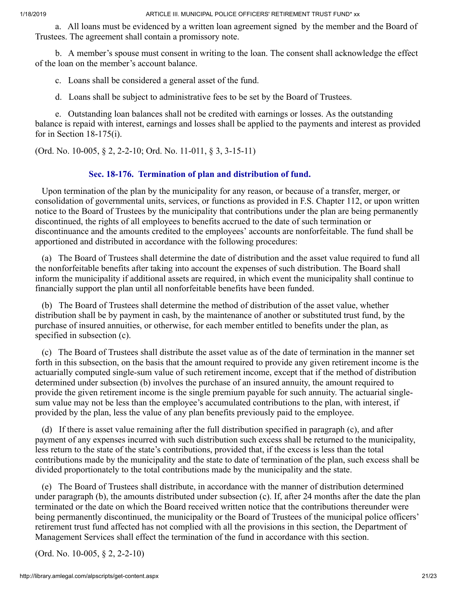a. All loans must be evidenced by a written loan agreement signed by the member and the Board of Trustees. The agreement shall contain a promissory note.

 b. A member's spouse must consent in writing to the loan. The consent shall acknowledge the effect of the loan on the member's account balance.

c. Loans shall be considered a general asset of the fund.

d. Loans shall be subject to administrative fees to be set by the Board of Trustees.

 e. Outstanding loan balances shall not be credited with earnings or losses. As the outstanding balance is repaid with interest, earnings and losses shall be applied to the payments and interest as provided for in Section 18-175(i).

(Ord. No. 10-005, § 2, 2-2-10; Ord. No. 11-011, § 3, 3-15-11)

# **Sec. 18-176. Termination of plan and distribution of fund.**

 Upon termination of the plan by the municipality for any reason, or because of a transfer, merger, or consolidation of governmental units, services, or functions as provided in F.S. Chapter 112, or upon written notice to the Board of Trustees by the municipality that contributions under the plan are being permanently discontinued, the rights of all employees to benefits accrued to the date of such termination or discontinuance and the amounts credited to the employees' accounts are nonforfeitable. The fund shall be apportioned and distributed in accordance with the following procedures:

 (a) The Board of Trustees shall determine the date of distribution and the asset value required to fund all the nonforfeitable benefits after taking into account the expenses of such distribution. The Board shall inform the municipality if additional assets are required, in which event the municipality shall continue to financially support the plan until all nonforfeitable benefits have been funded.

 (b) The Board of Trustees shall determine the method of distribution of the asset value, whether distribution shall be by payment in cash, by the maintenance of another or substituted trust fund, by the purchase of insured annuities, or otherwise, for each member entitled to benefits under the plan, as specified in subsection (c).

 (c) The Board of Trustees shall distribute the asset value as of the date of termination in the manner set forth in this subsection, on the basis that the amount required to provide any given retirement income is the actuarially computed single-sum value of such retirement income, except that if the method of distribution determined under subsection (b) involves the purchase of an insured annuity, the amount required to provide the given retirement income is the single premium payable for such annuity. The actuarial singlesum value may not be less than the employee's accumulated contributions to the plan, with interest, if provided by the plan, less the value of any plan benefits previously paid to the employee.

 (d) If there is asset value remaining after the full distribution specified in paragraph (c), and after payment of any expenses incurred with such distribution such excess shall be returned to the municipality, less return to the state of the state's contributions, provided that, if the excess is less than the total contributions made by the municipality and the state to date of termination of the plan, such excess shall be divided proportionately to the total contributions made by the municipality and the state.

 (e) The Board of Trustees shall distribute, in accordance with the manner of distribution determined under paragraph (b), the amounts distributed under subsection (c). If, after 24 months after the date the plan terminated or the date on which the Board received written notice that the contributions thereunder were being permanently discontinued, the municipality or the Board of Trustees of the municipal police officers' retirement trust fund affected has not complied with all the provisions in this section, the Department of Management Services shall effect the termination of the fund in accordance with this section.

(Ord. No. 10-005, § 2, 2-2-10)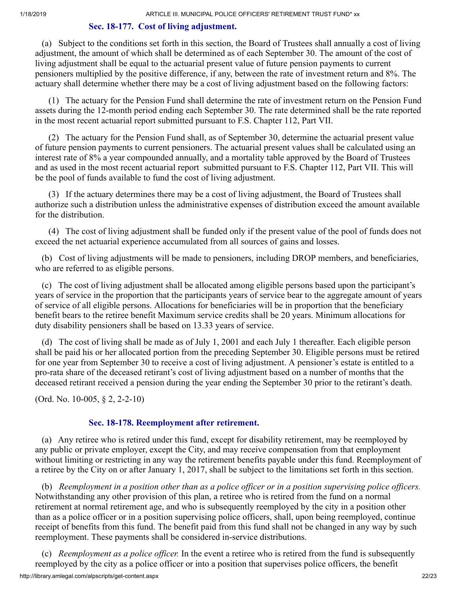#### **Sec. 18-177. Cost of living adjustment.**

 (a) Subject to the conditions set forth in this section, the Board of Trustees shall annually a cost of living adjustment, the amount of which shall be determined as of each September 30. The amount of the cost of living adjustment shall be equal to the actuarial present value of future pension payments to current pensioners multiplied by the positive difference, if any, between the rate of investment return and 8%. The actuary shall determine whether there may be a cost of living adjustment based on the following factors:

 (1) The actuary for the Pension Fund shall determine the rate of investment return on the Pension Fund assets during the 12-month period ending each September 30. The rate determined shall be the rate reported in the most recent actuarial report submitted pursuant to F.S. Chapter 112, Part VII.

 (2) The actuary for the Pension Fund shall, as of September 30, determine the actuarial present value of future pension payments to current pensioners. The actuarial present values shall be calculated using an interest rate of 8% a year compounded annually, and a mortality table approved by the Board of Trustees and as used in the most recent actuarial report submitted pursuant to F.S. Chapter 112, Part VII. This will be the pool of funds available to fund the cost of living adjustment.

 (3) If the actuary determines there may be a cost of living adjustment, the Board of Trustees shall authorize such a distribution unless the administrative expenses of distribution exceed the amount available for the distribution.

 (4) The cost of living adjustment shall be funded only if the present value of the pool of funds does not exceed the net actuarial experience accumulated from all sources of gains and losses.

 (b) Cost of living adjustments will be made to pensioners, including DROP members, and beneficiaries, who are referred to as eligible persons.

 (c) The cost of living adjustment shall be allocated among eligible persons based upon the participant's years of service in the proportion that the participants years of service bear to the aggregate amount of years of service of all eligible persons. Allocations for beneficiaries will be in proportion that the beneficiary benefit bears to the retiree benefit Maximum service credits shall be 20 years. Minimum allocations for duty disability pensioners shall be based on 13.33 years of service.

 (d) The cost of living shall be made as of July 1, 2001 and each July 1 thereafter. Each eligible person shall be paid his or her allocated portion from the preceding September 30. Eligible persons must be retired for one year from September 30 to receive a cost of living adjustment. A pensioner's estate is entitled to a pro-rata share of the deceased retirant's cost of living adjustment based on a number of months that the deceased retirant received a pension during the year ending the September 30 prior to the retirant's death.

(Ord. No. 10-005, § 2, 2-2-10)

### **Sec. 18-178. Reemployment after retirement.**

 (a) Any retiree who is retired under this fund, except for disability retirement, may be reemployed by any public or private employer, except the City, and may receive compensation from that employment without limiting or restricting in any way the retirement benefits payable under this fund. Reemployment of a retiree by the City on or after January 1, 2017, shall be subject to the limitations set forth in this section.

 (b) *Reemployment in a position other than as a police officer or in a position supervising police officers.* Notwithstanding any other provision of this plan, a retiree who is retired from the fund on a normal retirement at normal retirement age, and who is subsequently reemployed by the city in a position other than as a police officer or in a position supervising police officers, shall, upon being reemployed, continue receipt of benefits from this fund. The benefit paid from this fund shall not be changed in any way by such reemployment. These payments shall be considered in-service distributions.

http://library.amlegal.com/alpscripts/get-content.aspx 22/23 (c) *Reemployment as a police officer.* In the event a retiree who is retired from the fund is subsequently reemployed by the city as a police officer or into a position that supervises police officers, the benefit